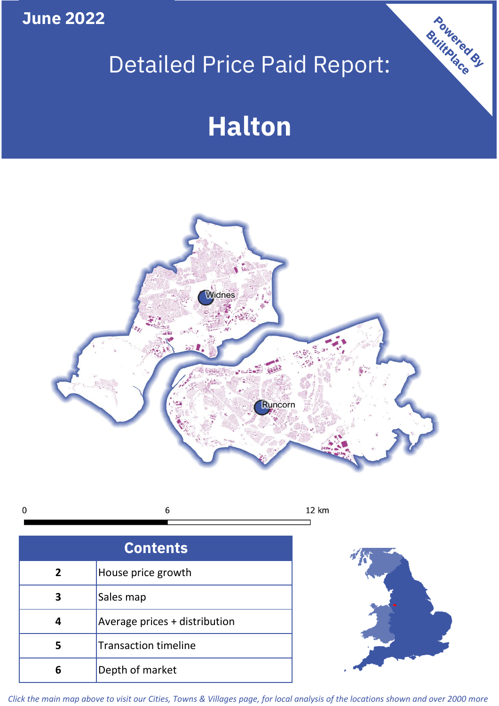**June 2022**

# Detailed Price Paid Report:

# **Halton**



 $\mathbf 0$ 6 12 km

| <b>Contents</b> |                               |  |  |
|-----------------|-------------------------------|--|--|
| $\overline{2}$  | House price growth            |  |  |
| 3               | Sales map                     |  |  |
|                 | Average prices + distribution |  |  |
| 5               | <b>Transaction timeline</b>   |  |  |
|                 | Depth of market               |  |  |



Powered By

*Click the main map above to visit our Cities, Towns & Villages page, for local analysis of the locations shown and over 2000 more*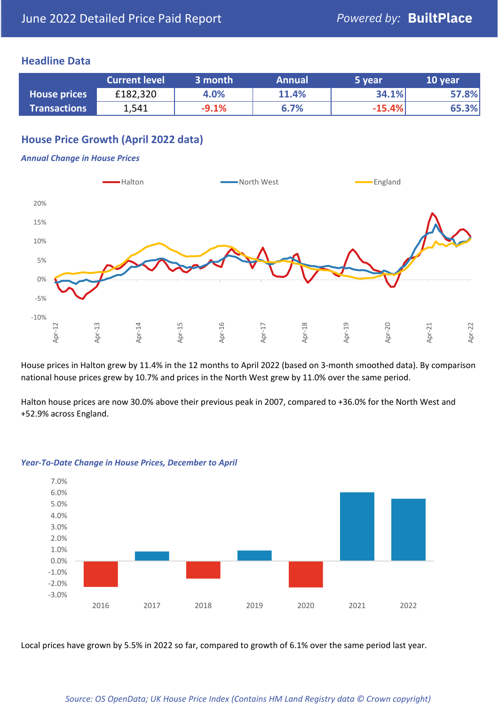#### **Headline Data**

|                     | <b>Current level</b> | 3 month | <b>Annual</b> | 5 year   | 10 year |
|---------------------|----------------------|---------|---------------|----------|---------|
| <b>House prices</b> | £182,320             | 4.0%    | 11.4%         | 34.1%    | 57.8%   |
| <b>Transactions</b> | 1,541                | $-9.1%$ | 6.7%          | $-15.4%$ | 65.3%   |

# **House Price Growth (April 2022 data)**

#### *Annual Change in House Prices*



House prices in Halton grew by 11.4% in the 12 months to April 2022 (based on 3-month smoothed data). By comparison national house prices grew by 10.7% and prices in the North West grew by 11.0% over the same period.

Halton house prices are now 30.0% above their previous peak in 2007, compared to +36.0% for the North West and +52.9% across England.



#### *Year-To-Date Change in House Prices, December to April*

Local prices have grown by 5.5% in 2022 so far, compared to growth of 6.1% over the same period last year.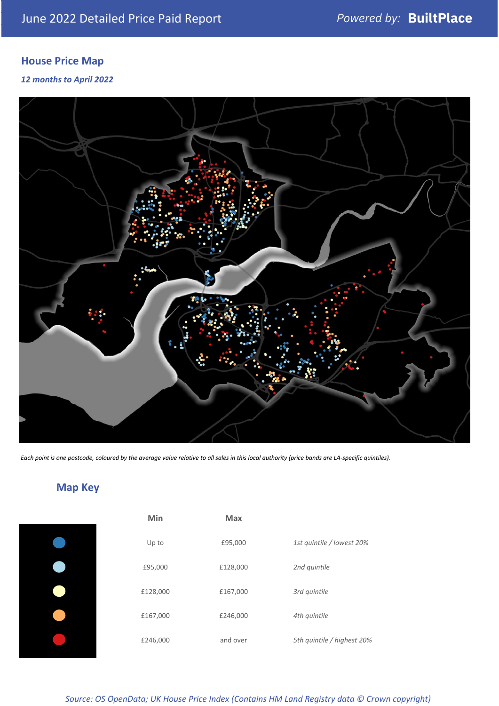# **House Price Map**

*12 months to April 2022*



*Each point is one postcode, coloured by the average value relative to all sales in this local authority (price bands are LA-specific quintiles).*

# **Map Key**

| Min      | <b>Max</b> |                            |
|----------|------------|----------------------------|
| Up to    | £95,000    | 1st quintile / lowest 20%  |
| £95,000  | £128,000   | 2nd quintile               |
| £128,000 | £167,000   | 3rd quintile               |
| £167,000 | £246,000   | 4th quintile               |
| £246,000 | and over   | 5th quintile / highest 20% |

*Source: OS OpenData; UK House Price Index (Contains HM Land Registry data © Crown copyright)*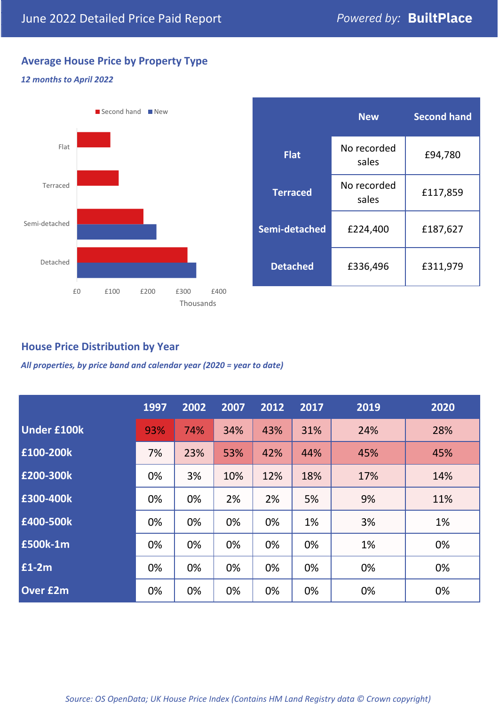# **Average House Price by Property Type**

#### *12 months to April 2022*



|                 | <b>New</b>           | <b>Second hand</b> |  |  |
|-----------------|----------------------|--------------------|--|--|
| <b>Flat</b>     | No recorded<br>sales | £94,780            |  |  |
| <b>Terraced</b> | No recorded<br>sales | £117,859           |  |  |
| Semi-detached   | £224,400             | £187,627           |  |  |
| <b>Detached</b> | £336,496             | £311,979           |  |  |

### **House Price Distribution by Year**

*All properties, by price band and calendar year (2020 = year to date)*

|                    | 1997 | 2002 | 2007 | 2012 | 2017 | 2019 | 2020 |
|--------------------|------|------|------|------|------|------|------|
| <b>Under £100k</b> | 93%  | 74%  | 34%  | 43%  | 31%  | 24%  | 28%  |
| £100-200k          | 7%   | 23%  | 53%  | 42%  | 44%  | 45%  | 45%  |
| £200-300k          | 0%   | 3%   | 10%  | 12%  | 18%  | 17%  | 14%  |
| £300-400k          | 0%   | 0%   | 2%   | 2%   | 5%   | 9%   | 11%  |
| £400-500k          | 0%   | 0%   | 0%   | 0%   | 1%   | 3%   | 1%   |
| £500k-1m           | 0%   | 0%   | 0%   | 0%   | 0%   | 1%   | 0%   |
| £1-2m              | 0%   | 0%   | 0%   | 0%   | 0%   | 0%   | 0%   |
| <b>Over £2m</b>    | 0%   | 0%   | 0%   | 0%   | 0%   | 0%   | 0%   |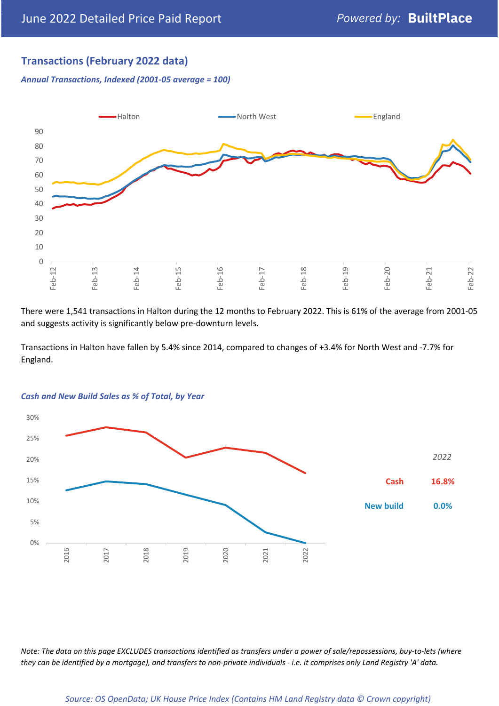## **Transactions (February 2022 data)**

*Annual Transactions, Indexed (2001-05 average = 100)*



There were 1,541 transactions in Halton during the 12 months to February 2022. This is 61% of the average from 2001-05 and suggests activity is significantly below pre-downturn levels.

Transactions in Halton have fallen by 5.4% since 2014, compared to changes of +3.4% for North West and -7.7% for England.



#### *Cash and New Build Sales as % of Total, by Year*

*Note: The data on this page EXCLUDES transactions identified as transfers under a power of sale/repossessions, buy-to-lets (where they can be identified by a mortgage), and transfers to non-private individuals - i.e. it comprises only Land Registry 'A' data.*